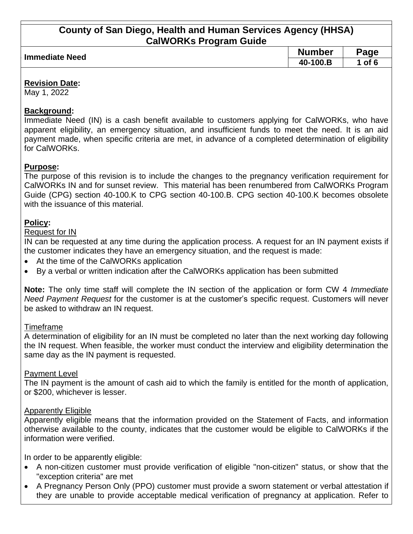| Immediate Need | <b>Number</b> | $\mathbf{q}$ age |
|----------------|---------------|------------------|
|                | 40-100.B      | of 6             |
|                |               |                  |

### **Revision Date:**

May 1, 2022

## **Background:**

Immediate Need (IN) is a cash benefit available to customers applying for CalWORKs, who have apparent eligibility, an emergency situation, and insufficient funds to meet the need. It is an aid payment made, when specific criteria are met, in advance of a completed determination of eligibility for CalWORKs.

## **Purpose:**

The purpose of this revision is to include the changes to the pregnancy verification requirement for CalWORKs IN and for sunset review. This material has been renumbered from CalWORKs Program Guide (CPG) section 40-100.K to CPG section 40-100.B. CPG section 40-100.K becomes obsolete with the issuance of this material.

# **Policy:**

## Request for IN

IN can be requested at any time during the application process. A request for an IN payment exists if the customer indicates they have an emergency situation, and the request is made:

- At the time of the CalWORKs application
- By a verbal or written indication after the CalWORKs application has been submitted

**Note:** The only time staff will complete the IN section of the application or form CW 4 *Immediate Need Payment Request* for the customer is at the customer's specific request. Customers will never be asked to withdraw an IN request.

### Timeframe

A determination of eligibility for an IN must be completed no later than the next working day following the IN request. When feasible, the worker must conduct the interview and eligibility determination the same day as the IN payment is requested.

### Payment Level

The IN payment is the amount of cash aid to which the family is entitled for the month of application, or \$200, whichever is lesser.

### **Apparently Eligible**

Apparently eligible means that the information provided on the Statement of Facts, and information otherwise available to the county, indicates that the customer would be eligible to CalWORKs if the information were verified.

In order to be apparently eligible:

- A non-citizen customer must provide verification of eligible "non-citizen" status, or show that the "exception criteria" are met
- A Pregnancy Person Only (PPO) customer must provide a sworn statement or verbal attestation if they are unable to provide acceptable medical verification of pregnancy at application. Refer to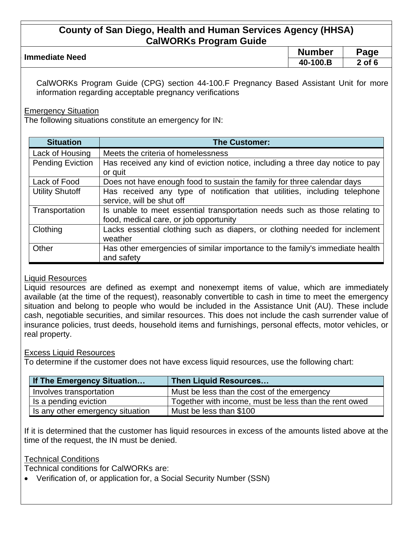| <b>Immediate Need</b> | <b>Number</b> | Page       |
|-----------------------|---------------|------------|
|                       | 40-100.B      | $2$ of $6$ |
|                       |               |            |

CalWORKs Program Guide (CPG) section 44-100.F Pregnancy Based Assistant Unit for more information regarding acceptable pregnancy verifications

**Emergency Situation** 

The following situations constitute an emergency for IN:

| <b>Situation</b>        | <b>The Customer:</b>                                                          |  |  |
|-------------------------|-------------------------------------------------------------------------------|--|--|
| Lack of Housing         | Meets the criteria of homelessness                                            |  |  |
| <b>Pending Eviction</b> | Has received any kind of eviction notice, including a three day notice to pay |  |  |
|                         | or quit                                                                       |  |  |
| Lack of Food            | Does not have enough food to sustain the family for three calendar days       |  |  |
| <b>Utility Shutoff</b>  | Has received any type of notification that utilities, including telephone     |  |  |
|                         | service, will be shut off                                                     |  |  |
| Transportation          | Is unable to meet essential transportation needs such as those relating to    |  |  |
|                         | food, medical care, or job opportunity                                        |  |  |
| Clothing                | Lacks essential clothing such as diapers, or clothing needed for inclement    |  |  |
|                         | weather                                                                       |  |  |
| Other                   | Has other emergencies of similar importance to the family's immediate health  |  |  |
|                         | and safety                                                                    |  |  |

### Liquid Resources

Liquid resources are defined as exempt and nonexempt items of value, which are immediately available (at the time of the request), reasonably convertible to cash in time to meet the emergency situation and belong to people who would be included in the Assistance Unit (AU). These include cash, negotiable securities, and similar resources. This does not include the cash surrender value of insurance policies, trust deeds, household items and furnishings, personal effects, motor vehicles, or real property.

### Excess Liquid Resources

To determine if the customer does not have excess liquid resources, use the following chart:

| If The Emergency Situation       | <b>Then Liquid Resources</b>                          |  |
|----------------------------------|-------------------------------------------------------|--|
| Involves transportation          | Must be less than the cost of the emergency           |  |
| Is a pending eviction            | Together with income, must be less than the rent owed |  |
| Is any other emergency situation | Must be less than \$100                               |  |

If it is determined that the customer has liquid resources in excess of the amounts listed above at the time of the request, the IN must be denied.

#### Technical Conditions

Technical conditions for CalWORKs are:

• Verification of, or application for, a Social Security Number (SSN)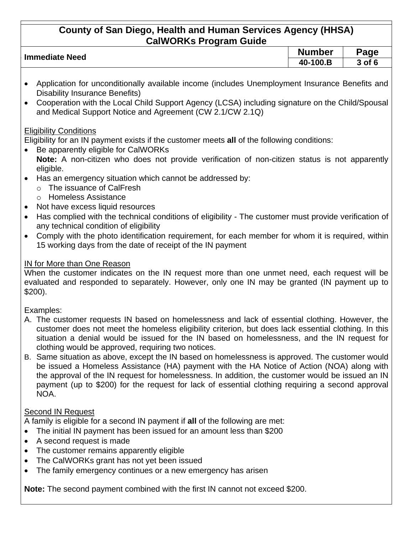| <b>Immediate Need</b> | <b>Number</b> | Page   |
|-----------------------|---------------|--------|
|                       | 100.B<br>40-  | २ of 6 |
|                       |               |        |

- Application for unconditionally available income (includes Unemployment Insurance Benefits and Disability Insurance Benefits)
- Cooperation with the Local Child Support Agency (LCSA) including signature on the Child/Spousal and Medical Support Notice and Agreement (CW 2.1/CW 2.1Q)

# Eligibility Conditions

Eligibility for an IN payment exists if the customer meets **all** of the following conditions:

- Be apparently eligible for CalWORKs
	- **Note:** A non-citizen who does not provide verification of non-citizen status is not apparently eligible.
- Has an emergency situation which cannot be addressed by:
	- o The issuance of CalFresh
	- o Homeless Assistance
- Not have excess liquid resources
- Has complied with the technical conditions of eligibility The customer must provide verification of any technical condition of eligibility
- Comply with the photo identification requirement, for each member for whom it is required, within 15 working days from the date of receipt of the IN payment

# IN for More than One Reason

When the customer indicates on the IN request more than one unmet need, each request will be evaluated and responded to separately. However, only one IN may be granted (IN payment up to \$200).

Examples:

- A. The customer requests IN based on homelessness and lack of essential clothing. However, the customer does not meet the homeless eligibility criterion, but does lack essential clothing. In this situation a denial would be issued for the IN based on homelessness, and the IN request for clothing would be approved, requiring two notices.
- B. Same situation as above, except the IN based on homelessness is approved. The customer would be issued a Homeless Assistance (HA) payment with the HA Notice of Action (NOA) along with the approval of the IN request for homelessness. In addition, the customer would be issued an IN payment (up to \$200) for the request for lack of essential clothing requiring a second approval NOA.

# Second IN Request

A family is eligible for a second IN payment if **all** of the following are met:

- The initial IN payment has been issued for an amount less than \$200
- A second request is made
- The customer remains apparently eligible
- The CalWORKs grant has not yet been issued
- The family emergency continues or a new emergency has arisen

**Note:** The second payment combined with the first IN cannot not exceed \$200.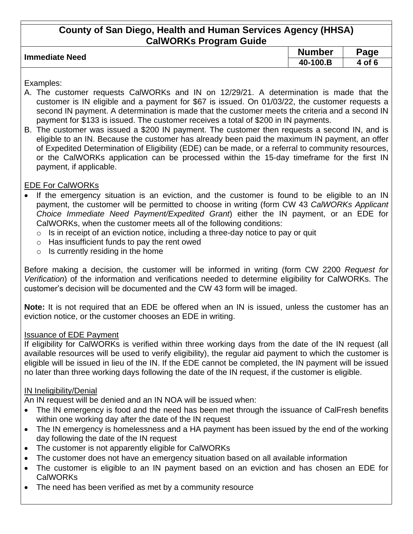| <b>Immediate Need</b> | <b>Number</b> | $\mathbf{p}$ age |
|-----------------------|---------------|------------------|
|                       | 40-100.ь      | of               |
|                       |               |                  |

Examples:

- A. The customer requests CalWORKs and IN on 12/29/21. A determination is made that the customer is IN eligible and a payment for \$67 is issued. On 01/03/22, the customer requests a second IN payment. A determination is made that the customer meets the criteria and a second IN payment for \$133 is issued. The customer receives a total of \$200 in IN payments.
- B. The customer was issued a \$200 IN payment. The customer then requests a second IN, and is eligible to an IN. Because the customer has already been paid the maximum IN payment, an offer of Expedited Determination of Eligibility (EDE) can be made, or a referral to community resources, or the CalWORKs application can be processed within the 15-day timeframe for the first IN payment, if applicable.

# EDE For CalWORKs

- If the emergency situation is an eviction, and the customer is found to be eligible to an IN payment, the customer will be permitted to choose in writing (form CW 43 *CalWORKs Applicant Choice Immediate Need Payment/Expedited Grant*) either the IN payment, or an EDE for CalWORKs, when the customer meets all of the following conditions:
	- $\circ$  Is in receipt of an eviction notice, including a three-day notice to pay or quit
	- $\circ$  Has insufficient funds to pay the rent owed
	- $\circ$  Is currently residing in the home

Before making a decision, the customer will be informed in writing (form CW 2200 *Request for Verification*) of the information and verifications needed to determine eligibility for CalWORKs. The customer's decision will be documented and the CW 43 form will be imaged.

**Note:** It is not required that an EDE be offered when an IN is issued, unless the customer has an eviction notice, or the customer chooses an EDE in writing.

# Issuance of EDE Payment

If eligibility for CalWORKs is verified within three working days from the date of the IN request (all available resources will be used to verify eligibility), the regular aid payment to which the customer is eligible will be issued in lieu of the IN. If the EDE cannot be completed, the IN payment will be issued no later than three working days following the date of the IN request, if the customer is eligible.

# IN Ineligibility/Denial

An IN request will be denied and an IN NOA will be issued when:

- The IN emergency is food and the need has been met through the issuance of CalFresh benefits within one working day after the date of the IN request
- The IN emergency is homelessness and a HA payment has been issued by the end of the working day following the date of the IN request
- The customer is not apparently eligible for CalWORKs
- The customer does not have an emergency situation based on all available information
- The customer is eligible to an IN payment based on an eviction and has chosen an EDE for CalWORKs
- The need has been verified as met by a community resource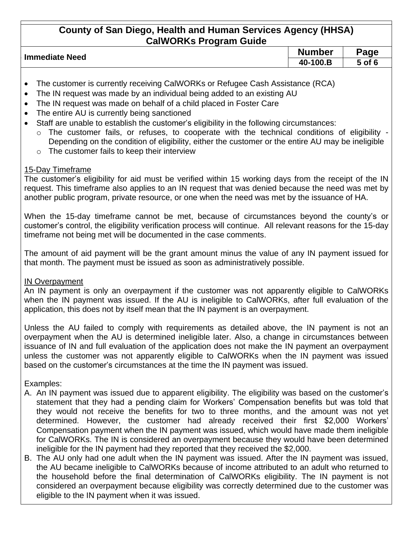| Immediate Need | <b>Number</b> | Page   |  |
|----------------|---------------|--------|--|
|                | 40-100.B      | 5 of 6 |  |
|                |               |        |  |

- The customer is currently receiving CalWORKs or Refugee Cash Assistance (RCA)
- The IN request was made by an individual being added to an existing AU
- The IN request was made on behalf of a child placed in Foster Care
- The entire AU is currently being sanctioned
- Staff are unable to establish the customer's eligibility in the following circumstances:
	- o The customer fails, or refuses, to cooperate with the technical conditions of eligibility Depending on the condition of eligibility, either the customer or the entire AU may be ineligible
	- o The customer fails to keep their interview

## 15-Day Timeframe

The customer's eligibility for aid must be verified within 15 working days from the receipt of the IN request. This timeframe also applies to an IN request that was denied because the need was met by another public program, private resource, or one when the need was met by the issuance of HA.

When the 15-day timeframe cannot be met, because of circumstances beyond the county's or customer's control, the eligibility verification process will continue. All relevant reasons for the 15-day timeframe not being met will be documented in the case comments.

The amount of aid payment will be the grant amount minus the value of any IN payment issued for that month. The payment must be issued as soon as administratively possible.

# IN Overpayment

An IN payment is only an overpayment if the customer was not apparently eligible to CalWORKs when the IN payment was issued. If the AU is ineligible to CalWORKs, after full evaluation of the application, this does not by itself mean that the IN payment is an overpayment.

Unless the AU failed to comply with requirements as detailed above, the IN payment is not an overpayment when the AU is determined ineligible later. Also, a change in circumstances between issuance of IN and full evaluation of the application does not make the IN payment an overpayment unless the customer was not apparently eligible to CalWORKs when the IN payment was issued based on the customer's circumstances at the time the IN payment was issued.

# Examples:

- A. An IN payment was issued due to apparent eligibility. The eligibility was based on the customer's statement that they had a pending claim for Workers' Compensation benefits but was told that they would not receive the benefits for two to three months, and the amount was not yet determined. However, the customer had already received their first \$2,000 Workers' Compensation payment when the IN payment was issued, which would have made them ineligible for CalWORKs. The IN is considered an overpayment because they would have been determined ineligible for the IN payment had they reported that they received the \$2,000.
- B. The AU only had one adult when the IN payment was issued. After the IN payment was issued, the AU became ineligible to CalWORKs because of income attributed to an adult who returned to the household before the final determination of CalWORKs eligibility. The IN payment is not considered an overpayment because eligibility was correctly determined due to the customer was eligible to the IN payment when it was issued.